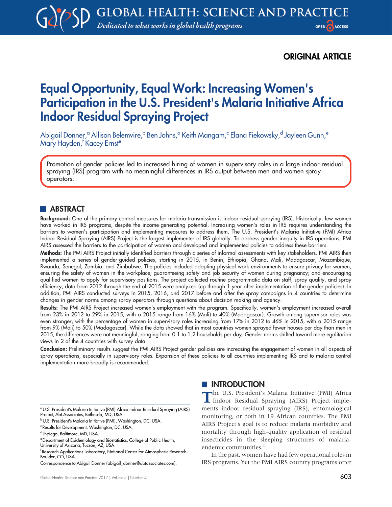# ORIGINAL ARTICLE

# Equal Opportunity, Equal Work: Increasing Women's Participation in the U.S. President's Malaria Initiative Africa Indoor Residual Spraying Project

Abigail Donner,<sup>a</sup> Allison Belemvire,<sup>b</sup> Ben Johns,<sup>a</sup> Keith Mangam,<sup>c</sup> Elana Fiekowsky,<sup>d</sup> Jayleen Gunn,<sup>e</sup> Mary Hayden,<sup>f</sup> Kacey Ernst<sup>e</sup>

Promotion of gender policies led to increased hiring of women in supervisory roles in a large indoor residual spraying (IRS) program with no meaningful differences in IRS output between men and women spray operators.

# **ABSTRACT**

Background: One of the primary control measures for malaria transmission is indoor residual spraying (IRS). Historically, few women have worked in IRS programs, despite the income-generating potential. Increasing women's roles in IRS requires understanding the barriers to women's participation and implementing measures to address them. The U.S. President's Malaria Initiative (PMI) Africa Indoor Residual Spraying (AIRS) Project is the largest implementer of IRS globally. To address gender inequity in IRS operations, PMI AIRS assessed the barriers to the participation of women and developed and implemented policies to address these barriers.

Methods: The PMI AIRS Project initially identified barriers through a series of informal assessments with key stakeholders. PMI AIRS then implemented a series of gender-guided policies, starting in 2015, in Benin, Ethiopia, Ghana, Mali, Madagascar, Mozambique, Rwanda, Senegal, Zambia, and Zimbabwe. The policies included adapting physical work environments to ensure privacy for women; ensuring the safety of women in the workplace; guaranteeing safety and job security of women during pregnancy; and encouraging qualified women to apply for supervisory positions. The project collected routine programmatic data on staff, spray quality, and spray efficiency; data from 2012 through the end of 2015 were analyzed (up through 1 year after implementation of the gender policies). In addition, PMI AIRS conducted surveys in 2015, 2016, and 2017 before and after the spray campaigns in 4 countries to determine changes in gender norms among spray operators through questions about decision making and agency.

Results: The PMI AIRS Project increased women's employment with the program. Specifically, women's employment increased overall from 23% in 2012 to 29% in 2015, with a 2015 range from 16% (Mali) to 40% (Madagascar). Growth among supervisor roles was even stronger, with the percentage of women in supervisory roles increasing from 17% in 2012 to 46% in 2015, with a 2015 range from 9% (Mali) to 50% (Madagascar). While the data showed that in most countries women sprayed fewer houses per day than men in 2015, the differences were not meaningful, ranging from 0.1 to 1.2 households per day. Gender norms shifted toward more egalitarian views in 2 of the 4 countries with survey data.

Conclusion: Preliminary results suggest the PMI AIRS Project gender policies are increasing the engagement of women in all aspects of spray operations, especially in supervisory roles. Expansion of these policies to all countries implementing IRS and to malaria control implementation more broadly is recommended.

# **INTRODUCTION**

The U.S. President's Malaria Initiative (PMI) Africa Indoor Residual Spraying (AIRS) Project implements indoor residual spraying (IRS), entomological monitoring, or both in 19 African countries. The PMI AIRS Project's goal is to reduce malaria morbidity and mortality through high-quality application of residual insecticides in the sleeping structures of malaria-endemic communities.<sup>[1](#page-12-0)</sup>

In the past, women have had few operational roles in IRS programs. Yet the PMI AIRS country programs offer

aU.S. President's Malaria Initiative (PMI) Africa Indoor Residual Spraying (AIRS) Project, Abt Associates, Bethesda, MD, USA.

bU.S. President's Malaria Initiative (PMI), Washington, DC, USA.

<sup>&</sup>lt;sup>c</sup> Results for Development, Washington, DC, USA.

d Jhpiego, Baltimore, MD, USA.

eDepartment of Epidemiology and Biostatistics, College of Public Health, University of Arizona, Tucson, AZ, USA.

f Research Applications Laboratory, National Center for Atmospheric Research, Boulder, CO, USA.

Correspondence to Abigail Donner (abigail donner@abtassociates.com).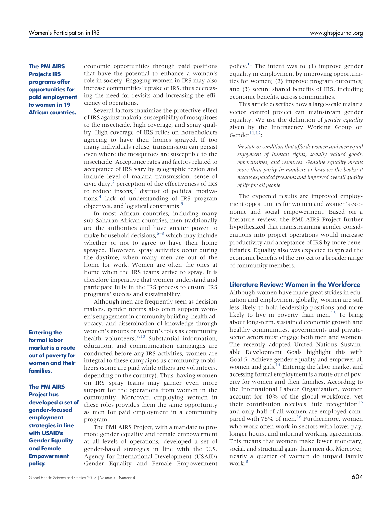The PMI AIRS Project's IRS programs offer opportunities for paid employment to women in 19 African countries.

Entering the formal labor market is a route out of poverty for women and their families.

The PMI AIRS Project has developed a set of gender-focused employment strategies in line with USAID's Gender Equality and Female Empowerment policy.

economic opportunities through paid positions that have the potential to enhance a woman's role in society. Engaging women in IRS may also increase communities' uptake of IRS, thus decreasing the need for revisits and increasing the efficiency of operations.

Several factors maximize the protective effect of IRS against malaria: susceptibility of mosquitoes to the insecticide, high coverage, and spray quality. High coverage of IRS relies on householders agreeing to have their homes sprayed. If too many individuals refuse, transmission can persist even where the mosquitoes are susceptible to the insecticide. Acceptance rates and factors related to acceptance of IRS vary by geographic region and include level of malaria transmission, sense of civic duty, $^2$  perception of the effectiveness of IRS to reduce insects, $3$  distrust of political motiva-tions,<sup>[4](#page-12-3)</sup> lack of understanding of IRS program objectives, and logistical constraints.[5](#page-12-4)

In most African countries, including many sub-Saharan African countries, men traditionally are the authorities and have greater power to make household decisions,  $6-8$  $6-8$  $6-8$  which may include whether or not to agree to have their home sprayed. However, spray activities occur during the daytime, when many men are out of the home for work. Women are often the ones at home when the IRS teams arrive to spray. It is therefore imperative that women understand and participate fully in the IRS process to ensure IRS programs' success and sustainability.

Although men are frequently seen as decision makers, gender norms also often support women's engagement in community building, health advocacy, and dissemination of knowledge through women's groups or women's roles as community health volunteers.<sup>[9,](#page-12-7)[10](#page-12-8)</sup> Substantial information, education, and communication campaigns are conducted before any IRS activities; women are integral to these campaigns as community mobilizers (some are paid while others are volunteers, depending on the country). Thus, having women on IRS spray teams may garner even more support for the operations from women in the community. Moreover, employing women in these roles provides them the same opportunity as men for paid employment in a community program.

The PMI AIRS Project, with a mandate to promote gender equality and female empowerment at all levels of operations, developed a set of gender-based strategies in line with the U.S. Agency for International Development (USAID) Gender Equality and Female Empowerment policy.<sup>11</sup> The intent was to  $(1)$  improve gender equality in employment by improving opportunities for women; (2) improve program outcomes; and (3) secure shared benefits of IRS, including economic benefits, across communities.

This article describes how a large-scale malaria vector control project can mainstream gender equality. We use the definition of gender equality given by the Interagency Working Group on Gender $\overline{^{11,12}}$  $\overline{^{11,12}}$  $\overline{^{11,12}}$  $\overline{^{11,12}}$ :

the state or condition that affords women and men equal enjoyment of human rights, socially valued goods, opportunities, and resources. Genuine equality means more than parity in numbers or laws on the books; it means expanded freedoms and improved overall quality of life for all people.

The expected results are improved employment opportunities for women and women's economic and social empowerment. Based on a literature review, the PMI AIRS Project further hypothesized that mainstreaming gender considerations into project operations would increase productivity and acceptance of IRS by more beneficiaries. Equality also was expected to spread the economic benefits of the project to a broader range of community members.

# Literature Review: Women in the Workforce

Although women have made great strides in education and employment globally, women are still less likely to hold leadership positions and more likely to live in poverty than men.<sup>[13](#page-12-11)</sup> To bring about long-term, sustained economic growth and healthy communities, governments and privatesector actors must engage both men and women. The recently adopted United Nations Sustainable Development Goals highlight this with Goal 5: Achieve gender equality and empower all women and girls.<sup>[14](#page-12-12)</sup> Entering the labor market and accessing formal employment is a route out of poverty for women and their families. According to the International Labour Organization, women account for 40% of the global workforce, yet their contribution receives little recognition<sup>[15](#page-12-13)</sup> and only half of all women are employed com-pared with 78% of men.<sup>[16](#page-12-14)</sup> Furthermore, women who work often work in sectors with lower pay, longer hours, and informal working agreements. This means that women make fewer monetary, social, and structural gains than men do. Moreover, nearly a quarter of women do unpaid family work. $\frac{8}{3}$  $\frac{8}{3}$  $\frac{8}{3}$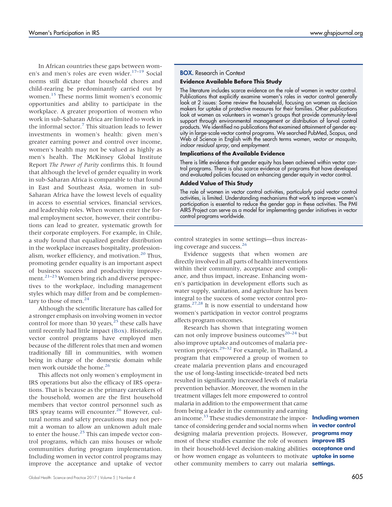In African countries these gaps between wom-en's and men's roles are even wider.<sup>[17](#page-12-15)-[19](#page-12-16)</sup> Social norms still dictate that household chores and child-rearing be predominantly carried out by women.[15](#page-12-13) These norms limit women's economic opportunities and ability to participate in the workplace. A greater proportion of women who work in sub-Saharan Africa are limited to work in the informal sector. $7$  This situation leads to fewer investments in women's health: given men's greater earning power and control over income, women's health may not be valued as highly as men's health. The McKinsey Global Institute Report The Power of Parity confirms this. It found that although the level of gender equality in work in sub-Saharan Africa is comparable to that found in East and Southeast Asia, women in sub-Saharan Africa have the lowest levels of equality in access to essential services, financial services, and leadership roles. When women enter the formal employment sector, however, their contributions can lead to greater, systematic growth for their corporate employers. For example, in Chile, a study found that equalized gender distribution in the workplace increases hospitality, professionalism, worker efficiency, and motivation. $20$  Thus, promoting gender equality is an important aspect of business success and productivity improve-ment.<sup>[21](#page-13-1)-[23](#page-13-2)</sup> Women bring rich and diverse perspectives to the workplace, including management styles which may differ from and be complementary to those of men. $^{24}$  $^{24}$  $^{24}$ 

Although the scientific literature has called for a stronger emphasis on involving women in vector control for more than 30 years, $^{25}$  these calls have until recently had little impact ([Box\)](#page-2-0). Historically, vector control programs have employed men because of the different roles that men and women traditionally fill in communities, with women being in charge of the domestic domain while men work outside the home.<sup>26</sup>

This affects not only women's employment in IRS operations but also the efficacy of IRS operations. That is because as the primary caretakers of the household, women are the first household members that vector control personnel such as IRS spray teams will encounter.<sup>[26](#page-13-5)</sup> However, cultural norms and safety precautions may not permit a woman to allow an unknown adult male to enter the house.<sup>[25](#page-13-4)</sup> This can impede vector control programs, which can miss houses or whole communities during program implementation. Including women in vector control programs may improve the acceptance and uptake of vector

#### <span id="page-2-0"></span>BOX. Research in Context

#### Evidence Available Before This Study

The literature includes scarce evidence on the role of women in vector control. Publications that explicitly examine women's roles in vector control generally look at 2 issues: Some review the household, focusing on women as decision makers for uptake of protective measures for their families. Other publications look at women as volunteers in women's groups that provide community-level support through environmental management or distribution of larval control products. We identified no publications that examined attainment of gender equity in large-scale vector control programs. We searched PubMed, Scopus, and Web of Science in English with the search terms women, vector or mosquito, indoor residual spray, and employment.

#### Implications of the Available Evidence

There is little evidence that gender equity has been achieved within vector control programs. There is also scarce evidence of programs that have developed and evaluated policies focused on enhancing gender equity in vector control.

#### Added Value of This Study

The role of women in vector control activities, particularly paid vector control activities, is limited. Understanding mechanisms that work to improve women's participation is essential to reduce the gender gap in these activities. The PMI AIRS Project can serve as a model for implementing gender initiatives in vector control programs worldwide.

control strategies in some settings—thus increas-ing coverage and success.<sup>[26](#page-13-5)</sup>

Evidence suggests that when women are directly involved in all parts of health interventions within their community, acceptance and compliance, and thus impact, increase. Enhancing women's participation in development efforts such as water supply, sanitation, and agriculture has been integral to the success of some vector control programs.[27,](#page-13-6)[28](#page-13-7) It is now essential to understand how women's participation in vector control programs affects program outcomes.

Research has shown that integrating women can not only improve business outcomes<sup>[20](#page-13-0)–[24](#page-13-3)</sup> but also improve uptake and outcomes of malaria prevention projects. $29-32$  $29-32$  $29-32$  For example, in Thailand, a program that empowered a group of women to create malaria prevention plans and encouraged the use of long-lasting insecticide-treated bed nets resulted in significantly increased levels of malaria prevention behavior. Moreover, the women in the treatment villages felt more empowered to control malaria in addition to the empowerment that came from being a leader in the community and earning an income.<sup>[33](#page-13-10)</sup> These studies demonstrate the importance of considering gender and social norms when designing malaria prevention projects. However, **programs may** most of these studies examine the role of women **improve IRS** in their household-level decision-making abilities **acceptance and** or how women engage as volunteers to motivate **uptake in some** other community members to carry out malaria settings.

Including women in vector control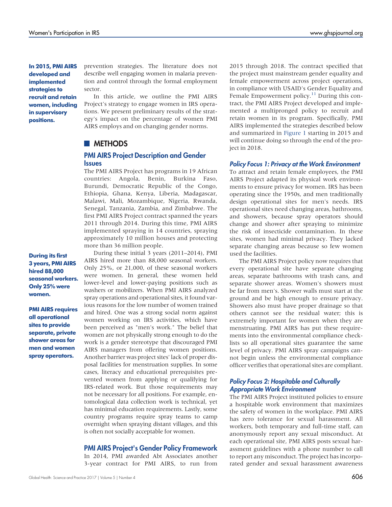In 2015, PMI AIRS developed and implemented strategies to recruit and retain women, including in supervisory positions.

prevention strategies. The literature does not describe well engaging women in malaria prevention and control through the formal employment sector.

In this article, we outline the PMI AIRS Project's strategy to engage women in IRS operations. We present preliminary results of the strategy's impact on the percentage of women PMI AIRS employs and on changing gender norms.

# **METHODS**

### PMI AIRS Project Description and Gender **Issues**

The PMI AIRS Project has programs in 19 African countries: Angola, Benin, Burkina Faso, Burundi, Democratic Republic of the Congo, Ethiopia, Ghana, Kenya, Liberia, Madagascar, Malawi, Mali, Mozambique, Nigeria, Rwanda, Senegal, Tanzania, Zambia, and Zimbabwe. The first PMI AIRS Project contract spanned the years 2011 through 2014. During this time, PMI AIRS implemented spraying in 14 countries, spraying approximately 10 million houses and protecting more than 36 million people.

During these initial 3 years (2011–2014), PMI AIRS hired more than 88,000 seasonal workers. Only 25%, or 21,000, of these seasonal workers were women. In general, these women held lower-level and lower-paying positions such as washers or mobilizers. When PMI AIRS analyzed spray operations and operational sites, it found various reasons for the low number of women trained and hired. One was a strong social norm against women working on IRS activities, which have been perceived as "men's work." The belief that women are not physically strong enough to do the work is a gender stereotype that discouraged PMI AIRS managers from offering women positions. Another barrier was project sites' lack of proper disposal facilities for menstruation supplies. In some cases, literacy and educational prerequisites prevented women from applying or qualifying for IRS-related work. But those requirements may not be necessary for all positions. For example, entomological data collection work is technical, yet has minimal education requirements. Lastly, some country programs require spray teams to camp overnight when spraying distant villages, and this is often not socially acceptable for women.

#### PMI AIRS Project's Gender Policy Framework

In 2014, PMI awarded Abt Associates another 3-year contract for PMI AIRS, to run from

2015 through 2018. The contract specified that the project must mainstream gender equality and female empowerment across project operations, in compliance with USAID's Gender Equality and Female Empowerment policy.<sup>11</sup> During this contract, the PMI AIRS Project developed and implemented a multipronged policy to recruit and retain women in its program. Specifically, PMI AIRS implemented the strategies described below and summarized in [Figure 1](#page-4-0) starting in 2015 and will continue doing so through the end of the project in 2018.

#### Policy Focus 1: Privacy at the Work Environment

To attract and retain female employees, the PMI AIRS Project adapted its physical work environments to ensure privacy for women. IRS has been operating since the 1950s, and men traditionally design operational sites for men's needs. IRS operational sites need changing areas, bathrooms, and showers, because spray operators should change and shower after spraying to minimize the risk of insecticide contamination. In these sites, women had minimal privacy. They lacked separate changing areas because so few women used the facilities.

The PMI AIRS Project policy now requires that every operational site have separate changing areas, separate bathrooms with trash cans, and separate shower areas. Women's showers must be far from men's. Shower walls must start at the ground and be high enough to ensure privacy. Showers also must have proper drainage so that others cannot see the residual water; this is extremely important for women when they are menstruating. PMI AIRS has put these requirements into the environmental compliance checklists so all operational sites guarantee the same level of privacy. PMI AIRS spray campaigns cannot begin unless the environmental compliance officer verifies that operational sites are compliant.

#### Policy Focus 2: Hospitable and Culturally Appropriate Work Environment

The PMI AIRS Project instituted policies to ensure a hospitable work environment that maximizes the safety of women in the workplace. PMI AIRS has zero tolerance for sexual harassment. All workers, both temporary and full-time staff, can anonymously report any sexual misconduct. At each operational site, PMI AIRS posts sexual harassment guidelines with a phone number to call to report any misconduct. The project has incorporated gender and sexual harassment awareness

During its first 3 years, PMI AIRS hired 88,000 seasonal workers. Only 25% were women.

PMI AIRS requires all operational sites to provide separate, private shower areas for men and women spray operators.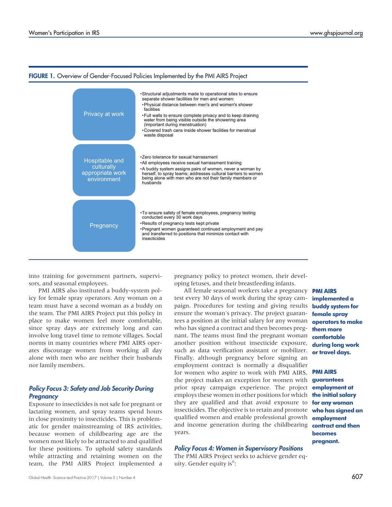

#### <span id="page-4-0"></span>FIGURE 1. Overview of Gender-Focused Policies Implemented by the PMI AIRS Project

into training for government partners, supervisors, and seasonal employees.

PMI AIRS also instituted a buddy-system policy for female spray operators. Any woman on a team must have a second woman as a buddy on the team. The PMI AIRS Project put this policy in place to make women feel more comfortable, since spray days are extremely long and can involve long travel time to remote villages. Social norms in many countries where PMI AIRS operates discourage women from working all day alone with men who are neither their husbands nor family members.

# Policy Focus 3: Safety and Job Security During **Pregnancy**

Exposure to insecticides is not safe for pregnant or lactating women, and spray teams spend hours in close proximity to insecticides. This is problematic for gender mainstreaming of IRS activities, because women of childbearing age are the women most likely to be attracted to and qualified for these positions. To uphold safety standards while attracting and retaining women on the team, the PMI AIRS Project implemented a

pregnancy policy to protect women, their developing fetuses, and their breastfeeding infants.

All female seasonal workers take a pregnancy **PMI AIRS** test every 30 days of work during the spray campaign. Procedures for testing and giving results ensure the woman's privacy. The project guarantees a position at the initial salary for any woman who has signed a contract and then becomes pregnant. The teams must find the pregnant woman another position without insecticide exposure, such as data verification assistant or mobilizer. Finally, although pregnancy before signing an employment contract is normally a disqualifier for women who aspire to work with PMI AIRS, the project makes an exception for women with prior spray campaign experience. The project employment.at employs these women in other positions for which **the initial salary** they are qualified and that avoid exposure to foranywoman insecticides. The objective is to retain and promote qualified women and enable professional growth and income generation during the childbearing years.

#### Policy Focus 4: Women in Supervisory Positions

The PMI AIRS Project seeks to achieve gender eq-uity. Gender equity is<sup>[6](#page-12-5)</sup>:

implemented a buddy system for female spray operators to make them more comfortable during long work or travel days.

#### PMI AIRS

guarantees who has signed an employment contract and then becomes pregnant.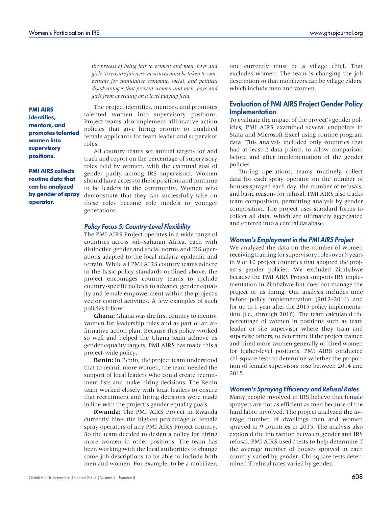the process of being fair to women and men, boys and girls. To ensure fairness, measures must be taken to compensate for cumulative economic, social, and political disadvantages that prevent women and men, boys and girls from operating on a level playing field.

PMI AIRS identifies, mentors, and promotes talented women into supervisory positions.

PMI AIRS collects routine data that can be analyzed by gender of spray operator.

The project identifies, mentors, and promotes talented women into supervisory positions. Project teams also implement affirmative action policies that give hiring priority to qualified female applicants for team leader and supervisor roles.

All country teams set annual targets for and track and report on the percentage of supervisory roles held by women, with the eventual goal of gender parity among IRS supervisors. Women should have access to these positions and continue to be leaders in the community. Women who demonstrate that they can successfully take on these roles become role models to younger generations.

#### Policy Focus 5: Country-Level Flexibility

The PMI AIRS Project operates in a wide range of countries across sub-Saharan Africa, each with distinctive gender and social norms and IRS operations adapted to the local malaria epidemic and terrain. While all PMI AIRS country teams adhere to the basic policy standards outlined above, the project encourages country teams to include country-specific policies to advance gender equality and female empowerment within the project's vector control activities. A few examples of such policies follow:

Ghana: Ghana was the first country to mentor women for leadership roles and as part of an affirmative action plan. Because this policy worked so well and helped the Ghana team achieve its gender equality targets, PMI AIRS has made this a project-wide policy.

Benin: In Benin, the project team understood that to recruit more women, the team needed the support of local leaders who could create recruitment lists and make hiring decisions. The Benin team worked closely with local leaders to ensure that recruitment and hiring decisions were made in line with the project's gender equality goals.

Rwanda: The PMI AIRS Project in Rwanda currently hires the highest percentage of female spray operators of any PMI AIRS Project country. So the team decided to design a policy for hiring more women in other positions. The team has been working with the local authorities to change some job descriptions to be able to include both men and women. For example, to be a mobilizer, one currently must be a village chief. That excludes women. The team is changing the job description so that mobilizers can be village elders, which include men and women.

## Evaluation of PMI AIRS Project Gender Policy **Implementation**

To evaluate the impact of the project's gender policies, PMI AIRS examined several endpoints in Stata and Microsoft Excel using routine program data. This analysis included only countries that had at least 2 data points, to allow comparison before and after implementation of the gender policies.

During operations, teams routinely collect data for each spray operator on the number of houses sprayed each day, the number of refusals, and basic reasons for refusal. PMI AIRS also tracks team composition, permitting analysis by gender composition. The project uses standard forms to collect all data, which are ultimately aggregated and entered into a central database.

#### Women's Employment in the PMI AIRS Project

We analyzed the data on the number of women receiving training for supervisory roles over 5 years in 9 of 10 project countries that adopted the project's gender policies. We excluded Zimbabwe because the PMI AIRS Project supports IRS implementation in Zimbabwe but does not manage the project or its hiring. Our analysis includes time before policy implementation (2012–2014) and for up to 1 year after the 2015 policy implementation (i.e., through 2016). The team calculated the percentage of women in positions such as team leader or site supervisor where they train and supervise others, to determine if the project trained and hired more women generally or hired women for higher-level positions. PMI AIRS conducted chi-square tests to determine whether the proportion of female supervisors rose between 2014 and 2015.

#### Women's Spraying Efficiency and Refusal Rates

Many people involved in IRS believe that female sprayers are not as efficient as men because of the hard labor involved. The project analyzed the average number of dwellings men and women sprayed in 9 countries in 2015. The analysis also explored the interaction between gender and IRS refusal. PMI AIRS used t tests to help determine if the average number of houses sprayed in each country varied by gender. Chi-square tests determined if refusal rates varied by gender.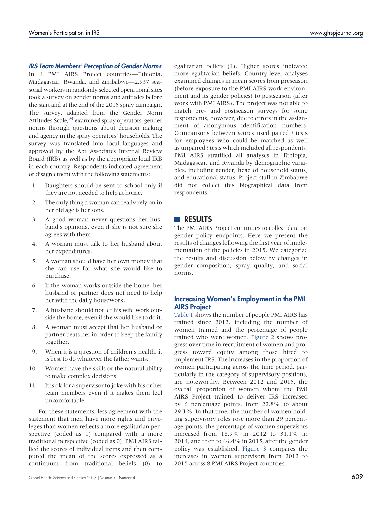#### IRS Team Members' Perception of Gender Norms

In 4 PMI AIRS Project countries—Ethiopia, Madagascar, Rwanda, and Zimbabwe—2,937 seasonal workers in randomly selected operational sites took a survey on gender norms and attitudes before the start and at the end of the 2015 spray campaign. The survey, adapted from the Gender Norm Attitudes Scale,<sup>34</sup> examined spray operators' gender norms through questions about decision making and agency in the spray operators' households. The survey was translated into local languages and approved by the Abt Associates Internal Review Board (IRB) as well as by the appropriate local IRB in each country. Respondents indicated agreement or disagreement with the following statements:

- 1. Daughters should be sent to school only if they are not needed to help at home.
- 2. The only thing a woman can really rely on in her old age is her sons.
- 3. A good woman never questions her husband's opinions, even if she is not sure she agrees with them.
- 4. A woman must talk to her husband about her expenditures.
- 5. A woman should have her own money that she can use for what she would like to purchase.
- 6. If the woman works outside the home, her husband or partner does not need to help her with the daily housework.
- 7. A husband should not let his wife work outside the home, even if she would like to do it.
- 8. A woman must accept that her husband or partner beats her in order to keep the family together.
- 9. When it is a question of children's health, it is best to do whatever the father wants.
- 10. Women have the skills or the natural ability to make complex decisions.
- 11. It is ok for a supervisor to joke with his or her team members even if it makes them feel uncomfortable.

For these statements, less agreement with the statement that men have more rights and privileges than women reflects a more egalitarian perspective (coded as 1) compared with a more traditional perspective (coded as 0). PMI AIRS tallied the scores of individual items and then computed the mean of the scores expressed as a continuum from traditional beliefs (0) to egalitarian beliefs (1). Higher scores indicated more egalitarian beliefs. Country-level analyses examined changes in mean scores from preseason (before exposure to the PMI AIRS work environment and its gender policies) to postseason (after work with PMI AIRS). The project was not able to match pre- and postseason surveys for some respondents, however, due to errors in the assignment of anonymous identification numbers. Comparisons between scores used paired t tests for employees who could be matched as well as unpaired t tests which included all respondents. PMI AIRS stratified all analyses in Ethiopia, Madagascar, and Rwanda by demographic variables, including gender, head of household status, and educational status. Project staff in Zimbabwe did not collect this biographical data from respondents.

## **RESULTS**

The PMI AIRS Project continues to collect data on gender policy endpoints. Here we present the results of changes following the first year of implementation of the policies in 2015. We categorize the results and discussion below by changes in gender composition, spray quality, and social norms.

# Increasing Women's Employment in the PMI AIRS Project

[Table 1](#page-7-0) shows the number of people PMI AIRS has trained since 2012, including the number of women trained and the percentage of people trained who were women. [Figure 2](#page-8-0) shows progress over time in recruitment of women and progress toward equity among those hired to implement IRS. The increases in the proportion of women participating across the time period, particularly in the category of supervisory positions, are noteworthy. Between 2012 and 2015, the overall proportion of women whom the PMI AIRS Project trained to deliver IRS increased by 6 percentage points, from 22.8% to about 29.1%. In that time, the number of women holding supervisory roles rose more than 29 percentage points: the percentage of women supervisors increased from 16.9% in 2012 to 31.1% in 2014, and then to 46.4% in 2015, after the gender policy was established. [Figure 3](#page-8-0) compares the increases in women supervisors from 2012 to 2015 across 8 PMI AIRS Project countries.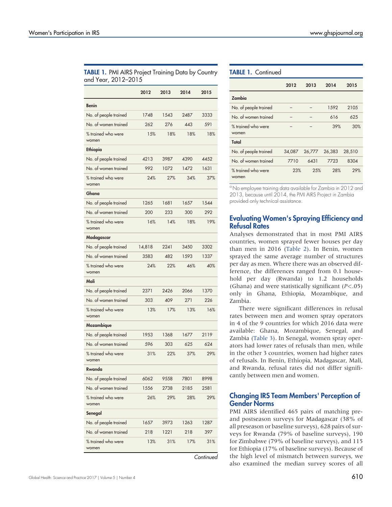<span id="page-7-0"></span>

| TABLE 1. PMI AIRS Project Training Data by Country |
|----------------------------------------------------|
| and Year, 2012–2015                                |

|                             | 2012   | 2013 | 2014 | 2015 |
|-----------------------------|--------|------|------|------|
| <b>Benin</b>                |        |      |      |      |
| No. of people trained       | 1748   | 1543 | 2487 | 3333 |
| No. of women trained        | 262    | 276  | 443  | 591  |
| % trained who were<br>women | 15%    | 18%  | 18%  | 18%  |
| Ethiopia                    |        |      |      |      |
| No. of people trained       | 4213   | 3987 | 4390 | 4452 |
| No. of women trained        | 992    | 1072 | 1472 | 1631 |
| % trained who were<br>women | 24%    | 27%  | 34%  | 37%  |
| Ghana                       |        |      |      |      |
| No. of people trained       | 1265   | 1681 | 1657 | 1544 |
| No. of women trained        | 200    | 233  | 300  | 292  |
| % trained who were<br>women | 16%    | 14%  | 18%  | 19%  |
| Madagascar                  |        |      |      |      |
| No. of people trained       | 14,818 | 2241 | 3450 | 3302 |
| No. of women trained        | 3583   | 482  | 1593 | 1337 |
| % trained who were<br>women | 24%    | 22%  | 46%  | 40%  |
| Mali                        |        |      |      |      |
| No. of people trained       | 2371   | 2426 | 2066 | 1370 |
| No. of women trained        | 303    | 409  | 271  | 226  |
| % trained who were<br>women | 13%    | 17%  | 13%  | 16%  |
| Mozambique                  |        |      |      |      |
| No. of people trained       | 1953   | 1368 | 1677 | 2119 |
| No. of women trained        | 596    | 303  | 625  | 624  |
| % trained who were<br>women | 31%    | 22%  | 37%  | 29%  |
| Rwanda                      |        |      |      |      |
| No. of people trained       | 6062   | 9558 | 7801 | 8998 |
| No. of women trained        | 1556   | 2738 | 2185 | 2581 |
| % trained who were<br>women | 26%    | 29%  | 28%  | 29%  |
| Senegal                     |        |      |      |      |
| No. of people trained       | 1657   | 3973 | 1263 | 1287 |
| No. of women trained        | 218    | 1221 | 218  | 397  |
| % trained who were<br>women | 13%    | 31%  | 17%  | 31%  |

**Continued** 

# TABLE 1. Continued

|                             | 2012   | 2013   | 2014   | 2015   |
|-----------------------------|--------|--------|--------|--------|
| Zambia                      |        |        |        |        |
| No. of people trained       |        |        | 1592   | 2105   |
| No of women trained         |        |        | 616    | 625    |
| % trained who were<br>women |        |        | 39%    | 30%    |
| Total                       |        |        |        |        |
| No. of people trained       | 34,087 | 26,777 | 26,383 | 28,510 |
| No. of women trained        | 7710   | 6431   | 7723   | 8304   |
| % trained who were<br>women | 23%    | 25%    | 28%    | 29%    |

<sup>a</sup> No employee training data available for Zambia in 2012 and 2013, because until 2014, the PMI AIRS Project in Zambia provided only technical assistance.

# Evaluating Women's Spraying Efficiency and Refusal Rates

Analyses demonstrated that in most PMI AIRS countries, women sprayed fewer houses per day than men in 2016 [\(Table 2](#page-9-0)). In Benin, women sprayed the same average number of structures per day as men. Where there was an observed difference, the differences ranged from 0.1 household per day (Rwanda) to 1.2 households (Ghana) and were statistically significant  $(P<.05)$ only in Ghana, Ethiopia, Mozambique, and Zambia.

There were significant differences in refusal rates between men and women spray operators in 4 of the 9 countries for which 2016 data were available: Ghana, Mozambique, Senegal, and Zambia ([Table 3](#page-9-1)). In Senegal, women spray operators had lower rates of refusals than men, while in the other 3 countries, women had higher rates of refusals. In Benin, Ethiopia, Madagascar, Mali, and Rwanda, refusal rates did not differ significantly between men and women.

# Changing IRS Team Members' Perception of Gender Norms

PMI AIRS identified 465 pairs of matching preand postseason surveys for Madagascar (38% of all preseason or baseline surveys), 628 pairs of surveys for Rwanda (79% of baseline surveys), 190 for Zimbabwe (79% of baseline surveys), and 115 for Ethiopia (17% of baseline surveys). Because of the high level of mismatch between surveys, we also examined the median survey scores of all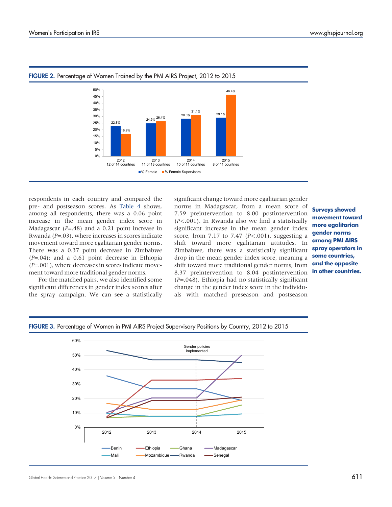

#### <span id="page-8-0"></span>FIGURE 2. Percentage of Women Trained by the PMI AIRS Project, 2012 to 2015

respondents in each country and compared the pre- and postseason scores. As [Table 4](#page-10-0) shows, among all respondents, there was a 0.06 point increase in the mean gender index score in Madagascar ( $P = .48$ ) and a 0.21 point increase in Rwanda ( $P = .03$ ), where increases in scores indicate movement toward more egalitarian gender norms. There was a 0.37 point decrease in Zimbabwe  $(P=.04)$ ; and a 0.61 point decrease in Ethiopia  $(P=.001)$ , where decreases in scores indicate movement toward more traditional gender norms.

For the matched pairs, we also identified some significant differences in gender index scores after the spray campaign. We can see a statistically significant change toward more egalitarian gender norms in Madagascar, from a mean score of 7.59 preintervention to 8.00 postintervention (P<.001). In Rwanda also we find a statistically significant increase in the mean gender index score, from 7.17 to 7.47  $(P<.001)$ , suggesting a shift toward more egalitarian attitudes. In Zimbabwe, there was a statistically significant drop in the mean gender index score, meaning a shift toward more traditional gender norms, from 8.37 preintervention to 8.04 postintervention  $(P=.048)$ . Ethiopia had no statistically significant change in the gender index score in the individuals with matched preseason and postseason

Surveys showed movement toward more egalitarian gender norms among PMI AIRS spray operators in some countries, and the opposite in other countries.



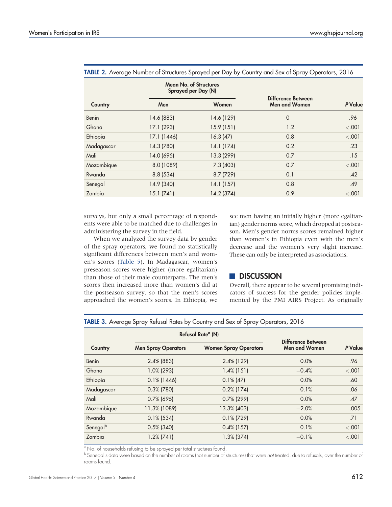|              | <b>Mean No. of Structures</b><br>Sprayed per Day (N) |            |                                            |         |
|--------------|------------------------------------------------------|------------|--------------------------------------------|---------|
| Country      | Men                                                  | Women      | Difference Between<br><b>Men and Women</b> | P Value |
| <b>Benin</b> | 14.6 (883)                                           | 14.6 (129) | $\mathbf 0$                                | .96     |
| Ghana        | 17.1 (293)                                           | 15.9(151)  | 1.2                                        | < .001  |
| Ethiopia     | 17.1 (1446)                                          | 16.3(47)   | 0.8                                        | $-.001$ |
| Madagascar   | 14.3 (780)                                           | 14.1 (174) | 0.2                                        | .23     |
| Mali         | 14.0 (695)                                           | 13.3 (299) | 0.7                                        | .15     |
| Mozambique   | 8.0 (1089)                                           | 7.3(403)   | 0.7                                        | < .001  |
| Rwanda       | 8.8(534)                                             | 8.7(729)   | 0.1                                        | .42     |
| Senegal      | 14.9 (340)                                           | 14.1(157)  | 0.8                                        | .49     |
| Zambia       | 15.1(741)                                            | 14.2 (374) | 0.9                                        | < .001  |

#### <span id="page-9-0"></span>TABLE 2. Average Number of Structures Sprayed per Day by Country and Sex of Spray Operators, 2016

surveys, but only a small percentage of respondents were able to be matched due to challenges in administering the survey in the field.

When we analyzed the survey data by gender of the spray operators, we found no statistically significant differences between men's and women's scores ([Table 5](#page-10-1)). In Madagascar, women's preseason scores were higher (more egalitarian) than those of their male counterparts. The men's scores then increased more than women's did at the postseason survey, so that the men's scores approached the women's scores. In Ethiopia, we

see men having an initially higher (more egalitarian) gender norms score, which dropped at postseason. Men's gender norms scores remained higher than women's in Ethiopia even with the men's decrease and the women's very slight increase. These can only be interpreted as associations.

# **DISCUSSION**

Overall, there appear to be several promising indicators of success for the gender policies implemented by the PMI AIRS Project. As originally

<span id="page-9-1"></span>TABLE 3. Average Spray Refusal Rates by Country and Sex of Spray Operators, 2016

|            |                            | Refusal Rate <sup>a</sup> (N) |                                            |         |
|------------|----------------------------|-------------------------------|--------------------------------------------|---------|
| Country    | <b>Men Spray Operators</b> | <b>Women Spray Operators</b>  | Difference Between<br><b>Men and Women</b> | P Value |
| Benin      | $2.4\%$ (883)              | $2.4\%$ (129)                 | 0.0%                                       | .96     |
| Ghana      | $1.0\%$ (293)              | $1.4\%$ (151)                 | $-0.4%$                                    | $-.001$ |
| Ethiopia   | $0.1\%$ (1446)             | $0.1\%$ (47)                  | 0.0%                                       | .60     |
| Madagascar | $0.3\%$ (780)              | $0.2\%$ (174)                 | 0.1%                                       | .06     |
| Mali       | $0.7\%$ (695)              | $0.7\%$ (299)                 | 0.0%                                       | .47     |
| Mozambique | 11.3% (1089)               | 13.3% (403)                   | $-2.0%$                                    | .005    |
| Rwanda     | $0.1\%$ (534)              | $0.1\%$ (729)                 | 0.0%                                       | .71     |
| Senegalb   | $0.5\%$ (340)              | $0.4\%$ (157)                 | 0.1%                                       | $-.001$ |
| Zambia     | $1.2\%$ (741)              | $1.3\%$ (374)                 | $-0.1%$                                    | $-.001$ |

<sup>a</sup> No. of households refusing to be sprayed per total structures found.

b Senegal's data were based on the number of rooms (not number of structures) that were not treated, due to refusals, over the number of rooms found.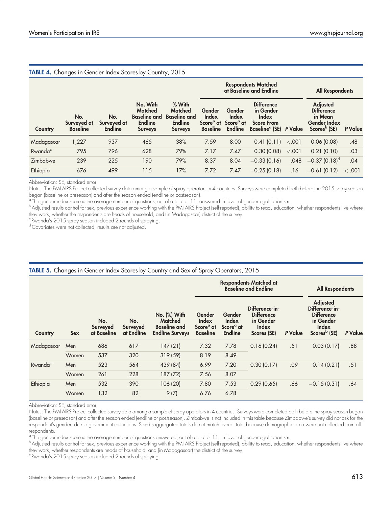<span id="page-10-0"></span>

| <b>TABLE 4.</b> Changes in Gender Index Scores by Country, 2015 |                                       |                                      |                                                                                       |                                                                                       |                                                             |                                                                   |                                                                                                    |         |                                                                                                    |         |
|-----------------------------------------------------------------|---------------------------------------|--------------------------------------|---------------------------------------------------------------------------------------|---------------------------------------------------------------------------------------|-------------------------------------------------------------|-------------------------------------------------------------------|----------------------------------------------------------------------------------------------------|---------|----------------------------------------------------------------------------------------------------|---------|
|                                                                 |                                       |                                      |                                                                                       |                                                                                       | <b>Respondents Matched</b><br>at Baseline and Endline       |                                                                   |                                                                                                    |         | <b>All Respondents</b>                                                                             |         |
| Country                                                         | No.<br>Surveyed at<br><b>Baseline</b> | No.<br>Surveyed at<br><b>Endline</b> | No. With<br><b>Matched</b><br><b>Baseline and</b><br><b>Endline</b><br><b>Surveys</b> | $%$ With<br><b>Matched</b><br><b>Baseline and</b><br><b>Endline</b><br><b>Surveys</b> | Gender<br>Index<br>Score <sup>a</sup> at<br><b>Baseline</b> | Gender<br><b>Index</b><br>Score <sup>a</sup> at<br><b>Endline</b> | <b>Difference</b><br>in Gender<br>Index<br><b>Score From</b><br>Baseline <sup>a</sup> (SE) P Value |         | <b>Adjusted</b><br><b>Difference</b><br>in Mean<br><b>Gender Index</b><br>Scores <sup>b</sup> (SE) | P Value |
| Madagascar                                                      | 1,227                                 | 937                                  | 465                                                                                   | 38%                                                                                   | 7.59                                                        | 8.00                                                              | 0.41(0.11)                                                                                         | $-.001$ | 0.06(0.08)                                                                                         | .48     |
| Rwanda <sup>c</sup>                                             | 795                                   | 796                                  | 628                                                                                   | 79%                                                                                   | 7.17                                                        | 7.47                                                              | 0.30(0.08)                                                                                         | < .001  | 0.21(0.10)                                                                                         | .03     |
| Zimbabwe                                                        | 239                                   | 225                                  | 190                                                                                   | 79%                                                                                   | 8.37                                                        | 8.04                                                              | $-0.33(0.16)$                                                                                      | .048    | $-0.37(0.18)^d$                                                                                    | .04     |
| Ethiopia                                                        | 676                                   | 499                                  | 115                                                                                   | 17%                                                                                   | 7.72                                                        | 7.47                                                              | $-0.25(0.18)$                                                                                      | .16     | $-0.61(0.12)$                                                                                      | < .001  |

Abbreviation: SE, standard error.

Notes: The PMI AIRS Project collected survey data among a sample of spray operators in 4 countries. Surveys were completed both before the 2015 spray season began (baseline or preseason) and after the season ended (endline or postseason).

<sup>a</sup> The gender index score is the average number of questions, out of a total of 11, answered in favor of gender egalitarianism.

b<br>Adjusted results control for sex, previous experience working with the PMI AIRS Project (self-reported), ability to read, education, whether respondents live where they work, whether the respondents are heads of household, and (in Madagascar) district of the survey.

<sup>c</sup> Rwanda's 2015 spray season included 2 rounds of spraying.

d Covariates were not collected; results are not adjusted.

# <span id="page-10-1"></span>TABLE 5. Changes in Gender Index Scores by Country and Sex of Spray Operators, 2015

|                     |            |                                |                               |                                                                          |                                                             |                                                            | <b>Respondents Matched at</b><br><b>Baseline and Endline</b>             | <b>All Respondents</b> |                                                                                                                 |         |
|---------------------|------------|--------------------------------|-------------------------------|--------------------------------------------------------------------------|-------------------------------------------------------------|------------------------------------------------------------|--------------------------------------------------------------------------|------------------------|-----------------------------------------------------------------------------------------------------------------|---------|
| Country             | <b>Sex</b> | No.<br>Surveyed<br>at Baseline | No.<br>Surveyed<br>at Endline | No. (%) With<br>Matched<br><b>Baseline and</b><br><b>Endline Surveys</b> | Gender<br>Index<br>Score <sup>a</sup> at<br><b>Baseline</b> | Gender<br>Index<br>Score <sup>a</sup> at<br><b>Endline</b> | Difference-in-<br><b>Difference</b><br>in Gender<br>Index<br>Scores (SE) | P Value                | <b>Adjusted</b><br>Difference-in-<br><b>Difference</b><br>in Gender<br><b>Index</b><br>Scores <sup>b</sup> (SE) | P Value |
| Madagascar          | Men        | 686                            | 617                           | 147(21)                                                                  | 7.32                                                        | 7.78                                                       | 0.16(0.24)                                                               | .51                    | 0.03(0.17)                                                                                                      | .88     |
|                     | Women      | 537                            | 320                           | 319(59)                                                                  | 8.19                                                        | 8.49                                                       |                                                                          |                        |                                                                                                                 |         |
| Rwanda <sup>c</sup> | Men        | 523                            | 564                           | 439 (84)                                                                 | 6.99                                                        | 7.20                                                       | 0.30(0.17)                                                               | .09                    | 0.14(0.21)                                                                                                      | .51     |
|                     | Women      | 261                            | 228                           | 187 (72)                                                                 | 7.56                                                        | 8.07                                                       |                                                                          |                        |                                                                                                                 |         |
| Ethiopia            | Men        | 532                            | 390                           | 106 (20)                                                                 | 7.80                                                        | 7.53                                                       | 0.29(0.65)                                                               | .66                    | $-0.15(0.31)$                                                                                                   | .64     |
|                     | Women      | 132                            | 82                            | 9(7)                                                                     | 6.76                                                        | 6.78                                                       |                                                                          |                        |                                                                                                                 |         |

Abbreviation: SE, standard error.

Notes: The PMI AIRS Project collected survey data among a sample of spray operators in 4 countries. Surveys were completed both before the spray season began (baseline or preseason) and after the season ended (endline or postseason). Zimbabwe is not included in this table because Zimbabwe's survey did not ask for the respondent's gender, due to government restrictions. Sex-disaggregated totals do not match overall total because demographic data were not collected from all respondents.

<sup>a</sup> The gender index score is the average number of questions answered, out of a total of 11, in favor of gender egalitarianism.

b Adjusted results control for sex, previous experience working with the PMI AIRS Project (self-reported), ability to read, education, whether respondents live where they work, whether respondents are heads of household, and (in Madagascar) the district of the survey.

<sup>c</sup> Rwanda's 2015 spray season included 2 rounds of spraying.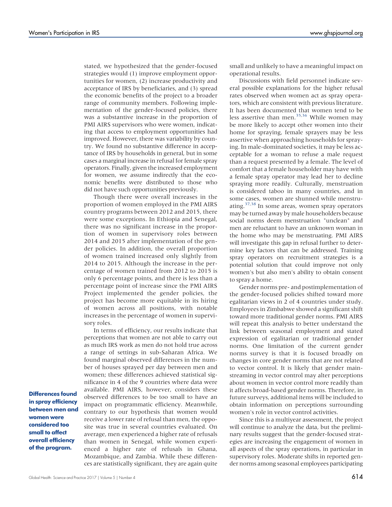stated, we hypothesized that the gender-focused strategies would (1) improve employment opportunities for women, (2) increase productivity and acceptance of IRS by beneficiaries, and (3) spread the economic benefits of the project to a broader range of community members. Following implementation of the gender-focused policies, there was a substantive increase in the proportion of PMI AIRS supervisors who were women, indicating that access to employment opportunities had improved. However, there was variability by country. We found no substantive difference in acceptance of IRS by households in general, but in some cases a marginal increase in refusal for female spray operators. Finally, given the increased employment for women, we assume indirectly that the economic benefits were distributed to those who did not have such opportunities previously.

Though there were overall increases in the proportion of women employed in the PMI AIRS country programs between 2012 and 2015, there were some exceptions. In Ethiopia and Senegal, there was no significant increase in the proportion of women in supervisory roles between 2014 and 2015 after implementation of the gender policies. In addition, the overall proportion of women trained increased only slightly from 2014 to 2015. Although the increase in the percentage of women trained from 2012 to 2015 is only 6 percentage points, and there is less than a percentage point of increase since the PMI AIRS Project implemented the gender policies, the project has become more equitable in its hiring of women across all positions, with notable increases in the percentage of women in supervisory roles.

In terms of efficiency, our results indicate that perceptions that women are not able to carry out as much IRS work as men do not hold true across a range of settings in sub-Saharan Africa. We found marginal observed differences in the number of houses sprayed per day between men and women; these differences achieved statistical significance in 4 of the 9 countries where data were available. PMI AIRS, however, considers these observed differences to be too small to have an impact on programmatic efficiency. Meanwhile, contrary to our hypothesis that women would receive a lower rate of refusal than men, the opposite was true in several countries evaluated. On average, men experienced a higher rate of refusals than women in Senegal, while women experienced a higher rate of refusals in Ghana, Mozambique, and Zambia. While these differences are statistically significant, they are again quite small and unlikely to have a meaningful impact on operational results.

Discussions with field personnel indicate several possible explanations for the higher refusal rates observed when women act as spray operators, which are consistent with previous literature. It has been documented that women tend to be less assertive than men. $35,36$  $35,36$  While women may be more likely to accept other women into their home for spraying, female sprayers may be less assertive when approaching households for spraying. In male-dominated societies, it may be less acceptable for a woman to refuse a male request than a request presented by a female. The level of comfort that a female householder may have with a female spray operator may lead her to decline spraying more readily. Culturally, menstruation is considered taboo in many countries, and in some cases, women are shunned while menstruating.[37](#page-13-14)[,38](#page-13-15) In some areas, women spray operators may be turned away by male householders because social norms deem menstruation "unclean" and men are reluctant to have an unknown woman in the home who may be menstruating. PMI AIRS will investigate this gap in refusal further to determine key factors that can be addressed. Training spray operators on recruitment strategies is a potential solution that could improve not only women's but also men's ability to obtain consent to spray a home.

Gender norms pre- and postimplementation of the gender-focused policies shifted toward more egalitarian views in 2 of 4 countries under study. Employees in Zimbabwe showed a significant shift toward more traditional gender norms. PMI AIRS will repeat this analysis to better understand the link between seasonal employment and stated expression of egalitarian or traditional gender norms. One limitation of the current gender norms survey is that it is focused broadly on changes in core gender norms that are not related to vector control. It is likely that gender mainstreaming in vector control may alter perceptions about women in vector control more readily than it affects broad-based gender norms. Therefore, in future surveys, additional items will be included to obtain information on perceptions surrounding women's role in vector control activities.

Since this is a multiyear assessment, the project will continue to analyze the data, but the preliminary results suggest that the gender-focused strategies are increasing the engagement of women in all aspects of the spray operations, in particular in supervisory roles. Moderate shifts in reported gender norms among seasonal employees participating

Differences found in spray efficiency between men and women were considered too small to affect overall efficiency of the program.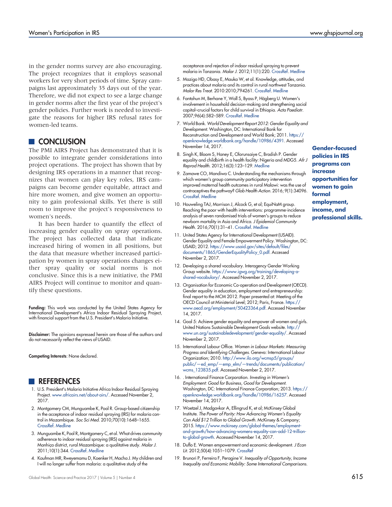in the gender norms survey are also encouraging. The project recognizes that it employs seasonal workers for very short periods of time. Spray campaigns last approximately 35 days out of the year. Therefore, we did not expect to see a large change in gender norms after the first year of the project's gender policies. Further work is needed to investigate the reasons for higher IRS refusal rates for women-led teams.

# **CONCLUSION**

The PMI AIRS Project has demonstrated that it is possible to integrate gender considerations into project operations. The project has shown that by designing IRS operations in a manner that recognizes that women can play key roles, IRS campaigns can become gender equitable, attract and hire more women, and give women an opportunity to gain professional skills. Yet there is still room to improve the project's responsiveness to women's needs.

It has been harder to quantify the effect of increasing gender equality on spray operations. The project has collected data that indicate increased hiring of women in all positions, but the data that measure whether increased participation by women in spray operations changes either spray quality or social norms is not conclusive. Since this is a new initiative, the PMI AIRS Project will continue to monitor and quantify these questions.

Funding: This work was conducted by the United States Agency for International Development's Africa Indoor Residual Spraying Project, with financial support from the U.S. President's Malaria Initiative.

Disclaimer: The opinions expressed herein are those of the authors and do not necessarily reflect the views of USAID.

Competing Interests: None declared.

# **REFERENCES**

- <span id="page-12-0"></span>1. U.S. President's Malaria Initiative Africa Indoor Residual Spraying Project. [www.africairs.net/about-airs/.](http://www.africairs.net/about-airs/) Accessed November 2, 2017.
- <span id="page-12-1"></span>2. Montgomery CM, Munguambe K, Pool R. Group-based citizenship in the acceptance of indoor residual spraying (IRS) for malaria control in Mozambique. Soc Sci Med. 2010;70(10):1648–1655. [CrossRef.](https://doi.org/10.1016/j.socscimed.2010.01.020) [Medline](http://www.ncbi.nlm.nih.gov/pubmed/20199837)
- <span id="page-12-2"></span>3. Munguambe K, Pool R, Montgomery C, et al. What drives community adherence to indoor residual spraying (IRS) against malaria in Manhiça district, rural Mozambique: a qualitative study. Malar J. 2011;10(1):344. [CrossRef](https://doi.org/10.1186/1475-2875-10-344). [Medline](http://www.ncbi.nlm.nih.gov/pubmed/22111698)
- <span id="page-12-3"></span>4. Kaufman MR, Rweyemamu D, Koenker H, Macha J. My children and I will no longer suffer from malaria: a qualitative study of the

acceptance and rejection of indoor residual spraying to prevent malaria in Tanzania. Malar J. 2012;11(1):220. [CrossRef.](https://doi.org/10.1186/1475-2875-11-220) [Medline](http://www.ncbi.nlm.nih.gov/pubmed/22747610)

- <span id="page-12-4"></span>5. Mazigo HD, Obasy E, Mauka W, et al. Knowledge, attitudes, and practices about malaria and its control in rural northwest Tanzania. Malar Res Treat. 2010:2010;794261. [CrossRef.](https://doi.org/10.4061/2010/794261) [Medline](http://www.ncbi.nlm.nih.gov/pubmed/3275933)
- <span id="page-12-5"></span>6. Fantahun M, Berhane Y, Wall S, Byass P, Högberg U. Women's involvement in household decision-making and strengthening social capital–crucial factors for child survival in Ethiopia. Acta Paediatr. 2007;96(4):582–589. [CrossRef.](https://doi.org/10.1111/j.1651-2227.2007.00147.x) [Medline](http://www.ncbi.nlm.nih.gov/pubmed/17306012)
- <span id="page-12-17"></span>7. World Bank. World Development Report 2012: Gender Equality and Development. Washington, DC: International Bank for Reconstruction and Development and World Bank; 2011. [https://](https://openknowledge.worldbank.org/handle/10986/4391) [openknowledge.worldbank.org/handle/10986/4391.](https://openknowledge.worldbank.org/handle/10986/4391) Accessed November 14, 2017.
- <span id="page-12-6"></span>8. Singh K, Bloom S, Haney E, Olorunsaiye C, Brodish P. Gender equality and childbirth in a health facility: Nigeria and MDG5. Afr J Reprod Health. 2012;16(3):123–129. [Medline](http://www.ncbi.nlm.nih.gov/pubmed/23437506)
- <span id="page-12-7"></span>9. Zamawe CO, Mandiwa C. Understanding the mechanisms through which women's group community participatory intervention improved maternal health outcomes in rural Malawi: was the use of contraceptives the pathway? Glob Health Action. 2016; 9(1):34096. [CrossRef.](https://doi.org/10.3402/gha.v9.30496) [Medline](http://www.ncbi.nlm.nih.gov/pubmed/28156916)
- <span id="page-12-8"></span>10. Houweling TAJ, Morrison J, Alcock G, et al; EquiNaM group. Reaching the poor with health interventions: programme-incidence analysis of seven randomised trials of women's groups to reduce newborn mortality in Asia and Africa. J Epidemiol Community Health. 2016;70(1):31–41. [CrossRef](https://doi.org/10.1136/jech-2014-204685). [Medline](http://www.ncbi.nlm.nih.gov/pubmed/26246540)
- <span id="page-12-9"></span>11. United States Agency for International Development (USAID). Gender Equality and Female Empowerment Policy. Washington, DC: USAID; 2012. [https://www.usaid.gov/sites/default/files/](https://www.usaid.gov/sites/default/files/documents/1865/GenderEqualityPolicy_0.pdf) [documents/1865/GenderEqualityPolicy\\_0.pdf.](https://www.usaid.gov/sites/default/files/documents/1865/GenderEqualityPolicy_0.pdf) Accessed November 2, 2017.
- <span id="page-12-10"></span>12. Developing a shared vocabulary. Interagency Gender Working Group website. [https://www.igwg.org/training/developing-a](https://www.igwg.org/training/developing-a-shared-vocabulary/)[shared-vocabulary/.](https://www.igwg.org/training/developing-a-shared-vocabulary/) Accessed November 2, 2017.
- <span id="page-12-11"></span>13. Organisation for Economic Co-operation and Development (OECD). Gender equality in education, employment and entrepreneurship: final report to the MCM 2012. Paper presented at: Meeting of the OECD Council at Ministerial Level; 2012; Paris, France. [https://](https://www.oecd.org/employment/50423364.pdf) [www.oecd.org/employment/50423364.pdf.](https://www.oecd.org/employment/50423364.pdf) Accessed November 14, 2017.
- <span id="page-12-12"></span>14. Goal 5: Achieve gender equality and empower all women and girls. United Nations Sustainable Development Goals website. [http://](http://www.un.org/sustainabledevelopment/gender-equality/) [www.un.org/sustainabledevelopment/gender-equality/.](http://www.un.org/sustainabledevelopment/gender-equality/) Accessed November 2, 2017.
- <span id="page-12-13"></span>15. International Labour Office. Women in Labour Markets: Measuring Progress and Identifying Challenges. Geneva: International Labour Organization; 2010. [http://www.ilo.org/wcmsp5/groups/](http://www.ilo.org/wcmsp5/groups/public/---ed_emp/---emp_elm/---trends/documents/publication/wcms_123835.pdf) public/—ed\_emp/—emp\_elm/—[trends/documents/publication/](http://www.ilo.org/wcmsp5/groups/public/---ed_emp/---emp_elm/---trends/documents/publication/wcms_123835.pdf) [wcms\\_123835.pdf.](http://www.ilo.org/wcmsp5/groups/public/---ed_emp/---emp_elm/---trends/documents/publication/wcms_123835.pdf) Accessed November 2, 2017.
- <span id="page-12-14"></span>16. . International Finance Corporation. Investing in Women's Employment: Good for Business, Good for Development. Washington, DC: International Finance Corporation; 2013. [https://](https://openknowledge.worldbank.org/handle/10986/16257) [openknowledge.worldbank.org/handle/10986/16257.](https://openknowledge.worldbank.org/handle/10986/16257) Accessed November 14, 2017.
- <span id="page-12-15"></span>17. Woetzel J, Madgavkar A, Ellingrud K, et al; McKinsey Global Institute. The Power of Parity: How Advancing Women's Equality Can Add \$12 Trillion to Global Growth. McKinsey & Company; 2015. [https://www.mckinsey.com/global-themes/employment](https://www.mckinsey.com/global-themes/employment-and-growth/how-advancing-womens-equality-can-add-12-trillion-to-global-growth)[and-growth/how-advancing-womens-equality-can-add-12-trillion](https://www.mckinsey.com/global-themes/employment-and-growth/how-advancing-womens-equality-can-add-12-trillion-to-global-growth)[to-global-growth](https://www.mckinsey.com/global-themes/employment-and-growth/how-advancing-womens-equality-can-add-12-trillion-to-global-growth). Accessed November 14, 2017.
- 18. Duflo E. Women empowerment and economic development. J Econ Lit. 2012;50(4):1051–1079. [CrossRef](https://doi.org/10.1257/jel.50.4.1051)
- <span id="page-12-16"></span>19. Brunori P, Ferreira F, Peragine V. Inequality of Opportunity, Income Inequality and Economic Mobility: Some International Comparisons.

Gender-focused policies in IRS programs can increase opportunities for women to gain formal employment, income, and professional skills.